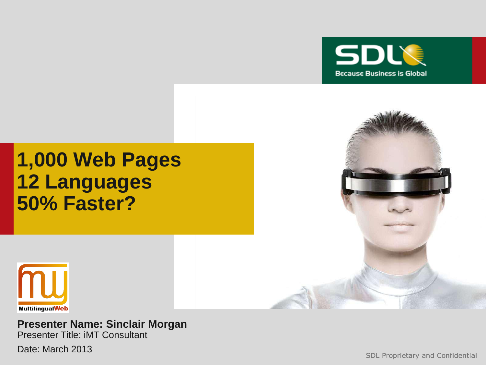

# **1,000 Web Pages 12 Languages 50% Faster?**



#### **Presenter Name: Sinclair Morgan** Presenter Title: iMT Consultant

Date: March 2013

SDL Proprietary and Confidential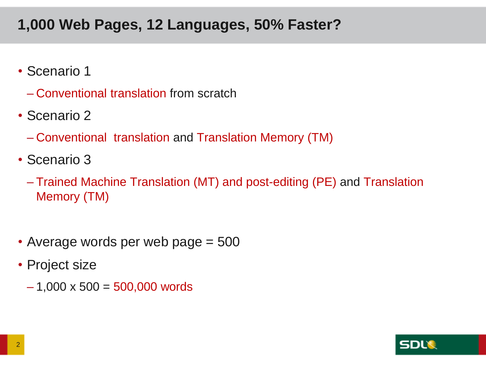## **1,000 Web Pages, 12 Languages, 50% Faster?**

- Scenario 1
	- Conventional translation from scratch
- Scenario 2
	- Conventional translation and Translation Memory (TM)
- Scenario 3
	- Trained Machine Translation (MT) and post-editing (PE) and Translation Memory (TM)
- Average words per web page = 500
- Project size
	- $-1,000 \times 500 = 500,000$  words

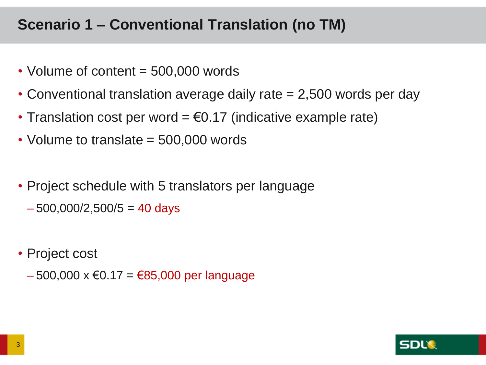## **Scenario 1 – Conventional Translation (no TM)**

- Volume of content = 500,000 words
- Conventional translation average daily rate = 2,500 words per day
- Translation cost per word  $= \epsilon 0.17$  (indicative example rate)
- Volume to translate = 500,000 words
- Project schedule with 5 translators per language
	- $-500,000/2,500/5 = 40$  days
- Project cost
	- $-500,000 \times \text{\textsterling}0.17 = \text{\textsterling}85,000$  per language

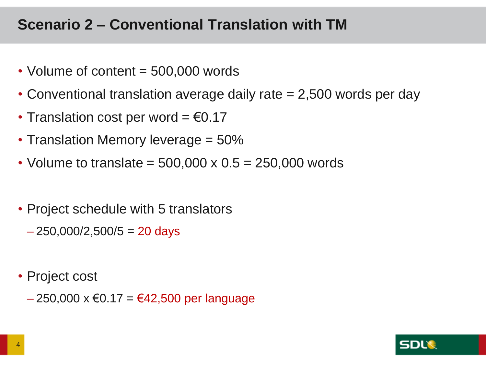## **Scenario 2 – Conventional Translation with TM**

- Volume of content = 500,000 words
- Conventional translation average daily rate = 2,500 words per day
- Translation cost per word =  $€0.17$
- Translation Memory leverage = 50%
- Volume to translate =  $500,000 \times 0.5 = 250,000$  words
- Project schedule with 5 translators
	- $-250,000/2,500/5 = 20$  days
- Project cost
	- $-250,000 \times \text{\textsterling}0.17 = \text{\textsterling}42,500$  per language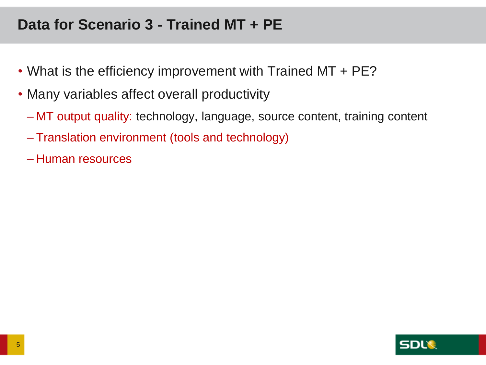## **Data for Scenario 3 - Trained MT + PE**

- What is the efficiency improvement with Trained MT + PE?
- Many variables affect overall productivity
	- MT output quality: technology, language, source content, training content
	- Translation environment (tools and technology)
	- Human resources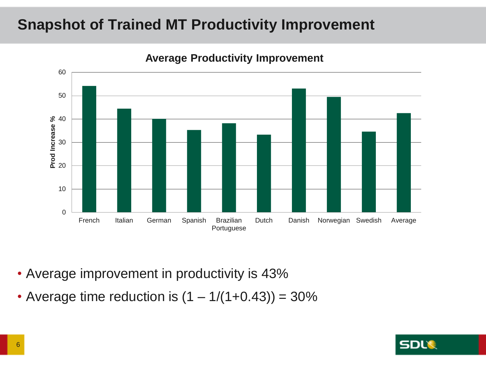## **Snapshot of Trained MT Productivity Improvement**



**Average Productivity Improvement**

- Average improvement in productivity is 43%
- Average time reduction is  $(1 1/(1+0.43)) = 30\%$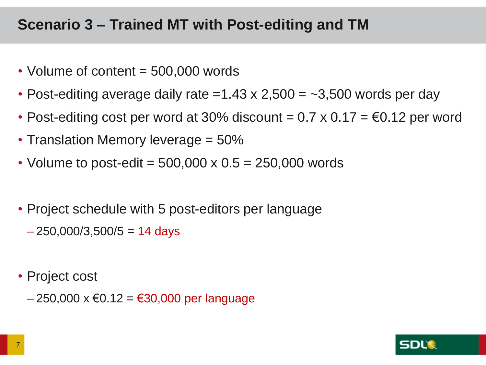## **Scenario 3 – Trained MT with Post-editing and TM**

- Volume of content = 500,000 words
- Post-editing average daily rate =1.43 x 2,500 =  $-3,500$  words per day
- Post-editing cost per word at 30% discount =  $0.7 \times 0.17 = \text{\textsterling}0.12$  per word
- Translation Memory leverage = 50%
- Volume to post-edit =  $500,000 \times 0.5 = 250,000$  words
- Project schedule with 5 post-editors per language
	- $-250,000/3,500/5 = 14$  days
- Project cost
	- $-250,000 \times 60.12 = 630,000$  per language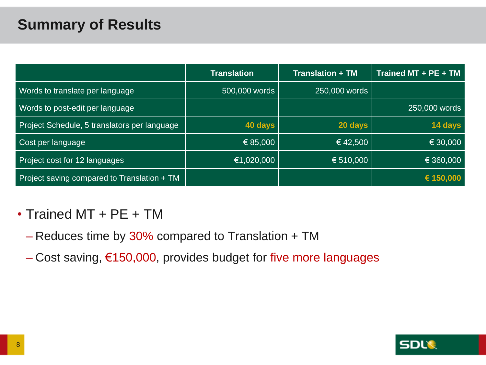## **Summary of Results**

|                                              | <b>Translation</b> | <b>Translation + TM</b> | Trained MT + PE + TM |
|----------------------------------------------|--------------------|-------------------------|----------------------|
| Words to translate per language              | 500,000 words      | 250,000 words           |                      |
| Words to post-edit per language              |                    |                         | 250,000 words        |
| Project Schedule, 5 translators per language | 40 days            | 20 days                 | 14 days              |
| Cost per language                            | € 85,000           | $\in$ 42,500            | € 30,000             |
| Project cost for 12 languages                | €1,020,000         | € 510,000               | € 360,000            |
| Project saving compared to Translation + TM  |                    |                         | € 150,000            |

## • Trained MT + PE + TM

- Reduces time by 30% compared to Translation + TM
- Cost saving, €150,000, provides budget for five more languages

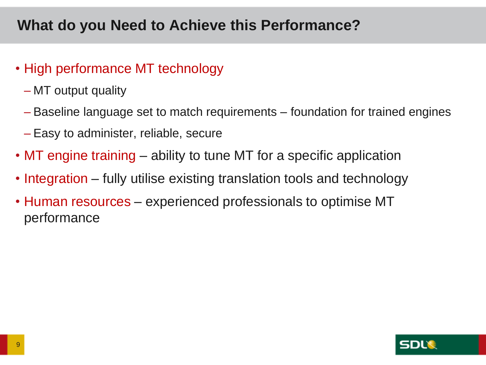## **What do you Need to Achieve this Performance?**

## • High performance MT technology

- MT output quality
- Baseline language set to match requirements foundation for trained engines
- Easy to administer, reliable, secure
- MT engine training ability to tune MT for a specific application
- Integration fully utilise existing translation tools and technology
- Human resources experienced professionals to optimise MT performance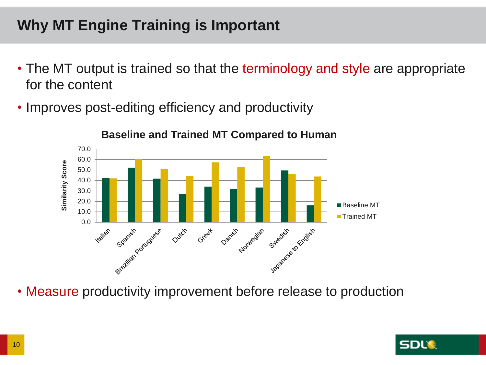## **Why MT Engine Training is Important**

- The MT output is trained so that the terminology and style are appropriate for the content
- Improves post-editing efficiency and productivity



• Measure productivity improvement before release to production

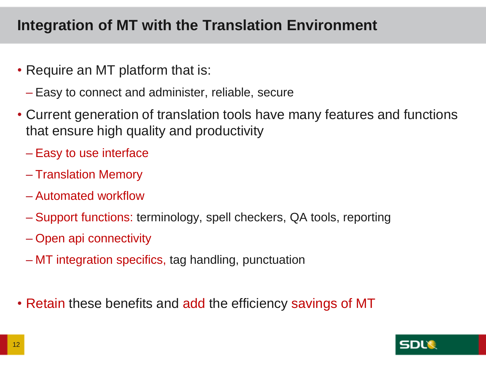## **Integration of MT with the Translation Environment**

- Require an MT platform that is:
	- Easy to connect and administer, reliable, secure
- Current generation of translation tools have many features and functions that ensure high quality and productivity
	- Easy to use interface
	- Translation Memory
	- Automated workflow
	- Support functions: terminology, spell checkers, QA tools, reporting
	- Open api connectivity
	- MT integration specifics, tag handling, punctuation
- Retain these benefits and add the efficiency savings of MT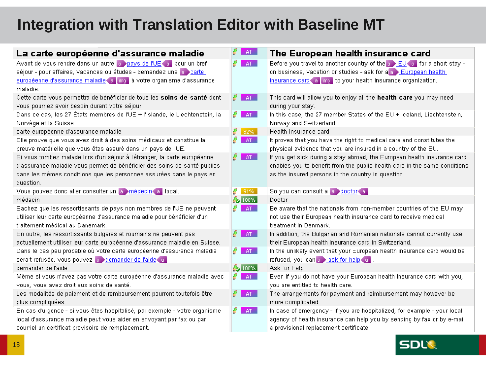## **Integration with Translation Editor with Baseline MT**

| La carte européenne d'assurance maladie                                     | AT             | The European health insurance card                                               |
|-----------------------------------------------------------------------------|----------------|----------------------------------------------------------------------------------|
| Avant de vous rendre dans un autre a pays de l'UE a pour un bref            | AT             | Before you travel to another country of the $\epsilon > EU$ a for a short stay - |
| séjour - pour affaires, vacances ou études - demandez une a carte           |                | on business, vacation or studies - ask for a a European health                   |
| européenne d'assurance maladie a img à votre organisme d'assurance          |                | insurance card a lime to your health insurance organization.                     |
| maladie.                                                                    |                |                                                                                  |
| Cette carte vous permettra de bénéficier de tous les soins de santé dont    | AT             | This card will allow you to enjoy all the health care you may need               |
| vous pourriez avoir besoin durant votre séjour.                             |                | during your stay.                                                                |
| Dans de das, les 27 États membres de l'UE + l'Islande, le Liechtenstein, la | AT             | In this case, the 27 member States of the EU + Iceland, Liechtenstein,           |
| Norvège et la Suisse                                                        |                | Norway and Switzerland                                                           |
| carte européenne d'assurance maladie                                        | $\sqrt{3}$ 82% | Health insurance card                                                            |
| Elle prouve que vous avez droit à des soins médicaux et constitue la        | AT             | It proves that you have the right to medical care and constitutes the            |
| preuve matérielle que vous êtes assuré dans un pays de l'UE.                |                | physical evidence that you are insured in a country of the EU.                   |
| Si vous tombez malade lors d'un séjour à l'étranger, la carte européenne    | AT             | If you get sick during a stay abroad, the European health insurance card         |
| d'assurance maladie vous permet de bénéficier des soins de santé publics    |                | enables you to benefit from the public health care in the same conditions        |
| dans les mêmes conditions que les personnes assurées dans le pays en        |                | as the insured persons in the country in question.                               |
| question.                                                                   |                |                                                                                  |
| Vous pouvez donc aller consulter un a médecin a local.                      | 91%<br>8       | So you can consult a so doctor a                                                 |
| médecin                                                                     | 42 100%        | Doctor                                                                           |
| Sachez que les ressortissants de pays non membres de l'UE ne peuvent        | AT             | Be aware that the nationals from non-member countries of the EU may              |
| utiliser leur carte européenne d'assurance maladie pour bénéficier d'un     |                | not use their European health insurance card to receive medical                  |
| traitement médical au Danemark.                                             |                | treatment in Denmark.                                                            |
| En outre, les ressortissants bulgares et roumains ne peuvent pas            | AT             | In addition, the Bulgarian and Romanian nationals cannot currently use           |
| actuellement utiliser leur carte européenne d'assurance maladie en Suisse.  |                | their European health insurance card in Switzerland.                             |
| Dans le cas peu probable où votre carte européenne d'assurance maladie      | AT             | In the unlikely event that your European health insurance card would be          |
| serait refusée, vous pouvez a demander de l'aide a                          |                | refused, you can a ask for help a                                                |
| demander de l'aide                                                          | 42 100%        | Ask for Help                                                                     |
| Même si vous n'avez pas votre carte européenne d'assurance maladie avec     | AT             | Even if you do not have your European health insurance card with you,            |
| vous, vous avez droit aux soins de santé.                                   |                | you are entitled to health care.                                                 |
| Les modalités de paiement et de remboursement pourront toutefois être       | AT             | The arrangements for payment and reimbursement may however be                    |
| plus compliquées.                                                           |                | more complicated.                                                                |
| En cas d'urgence - si vous êtes hospitalisé, par exemple - votre organisme  | AT             | In case of emergency - if you are hospitalized, for example - your local         |
| local d'assurance maladie peut vous aider en envoyant par fax ou par        |                | agency of health insurance can help you by sending by fax or by e-mail           |
| courriel un certificat provisoire de remplacement.                          |                | a provisional replacement certificate.                                           |

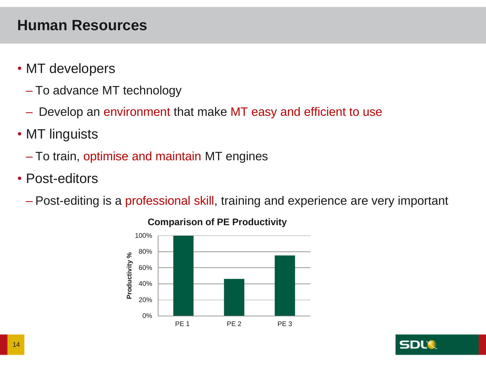## **Human Resources**

- MT developers
	- To advance MT technology
	- Develop an environment that make MT easy and efficient to use
- MT linguists
	- To train, optimise and maintain MT engines
- Post-editors
	- Post-editing is a professional skill, training and experience are very important



### **Comparison of PE Productivity**

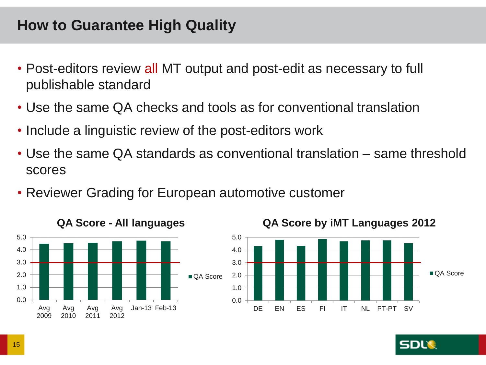## **How to Guarantee High Quality**

- Post-editors review all MT output and post-edit as necessary to full publishable standard
- Use the same QA checks and tools as for conventional translation
- Include a linguistic review of the post-editors work
- Use the same QA standards as conventional translation same threshold scores
- Reviewer Grading for European automotive customer





DE EN ES EL IT NI PT-PT SV

### **QA Score by iMT Languages 2012**

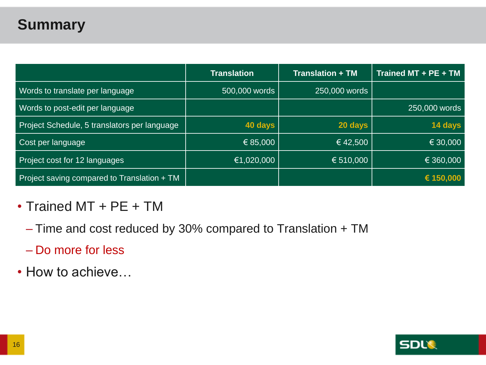## **Summary**

|                                              | <b>Translation</b> | <b>Translation + TM</b> | Trained MT + PE + TM |
|----------------------------------------------|--------------------|-------------------------|----------------------|
| Words to translate per language              | 500,000 words      | 250,000 words           |                      |
| Words to post-edit per language              |                    |                         | 250,000 words        |
| Project Schedule, 5 translators per language | 40 days            | 20 days                 | 14 days              |
| Cost per language                            | € 85,000           | $\in$ 42,500            | € 30,000             |
| Project cost for 12 languages                | €1,020,000         | € 510,000               | € 360,000            |
| Project saving compared to Translation + TM  |                    |                         | € 150,000            |

## • Trained MT + PE + TM

- Time and cost reduced by 30% compared to Translation + TM
- Do more for less
- How to achieve…